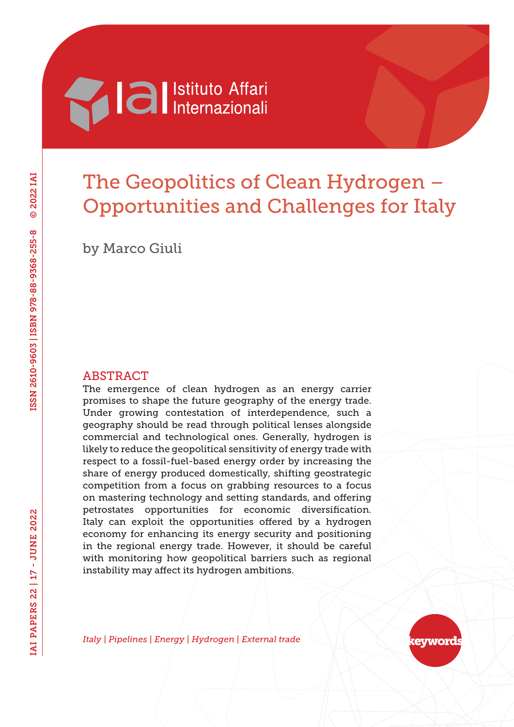

# The Geopolitics of Clean Hydrogen – Opportunities and Challenges for Italy

by Marco Giuli

#### ABSTRACT

The emergence of clean hydrogen as an energy carrier promises to shape the future geography of the energy trade. Under growing contestation of interdependence, such a geography should be read through political lenses alongside commercial and technological ones. Generally, hydrogen is likely to reduce the geopolitical sensitivity of energy trade with respect to a fossil-fuel-based energy order by increasing the share of energy produced domestically, shifting geostrategic competition from a focus on grabbing resources to a focus on mastering technology and setting standards, and offering petrostates opportunities for economic diversification. Italy can exploit the opportunities offered by a hydrogen economy for enhancing its energy security and positioning in the regional energy trade. However, it should be careful with monitoring how geopolitical barriers such as regional instability may affect its hydrogen ambitions.

*Italy | Pipelines | Energy | Hydrogen | External trade*

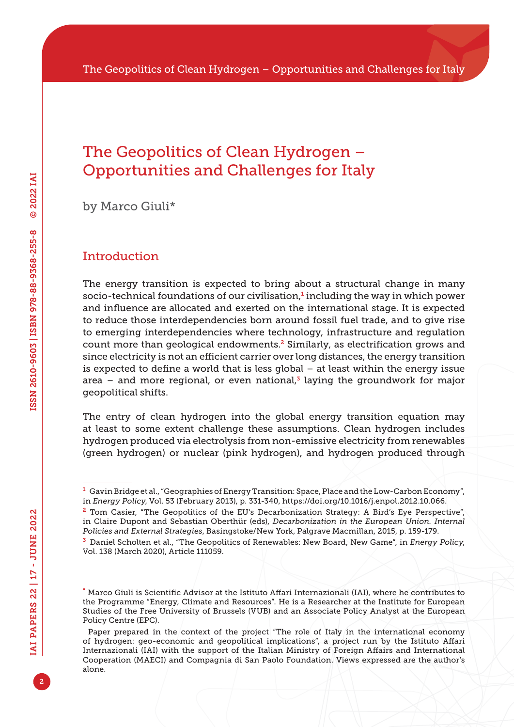## The Geopolitics of Clean Hydrogen – Opportunities and Challenges for Italy

by Marco Giuli\*

## Introduction

The energy transition is expected to bring about a structural change in many socio-technical foundations of our civilisation,<sup>1</sup> including the way in which power and influence are allocated and exerted on the international stage. It is expected to reduce those interdependencies born around fossil fuel trade, and to give rise to emerging interdependencies where technology, infrastructure and regulation count more than geological endowments.<sup>2</sup> Similarly, as electrification grows and since electricity is not an efficient carrier over long distances, the energy transition is expected to define a world that is less global – at least within the energy issue area – and more regional, or even national,<sup>3</sup> laying the groundwork for major geopolitical shifts.

The entry of clean hydrogen into the global energy transition equation may at least to some extent challenge these assumptions. Clean hydrogen includes hydrogen produced via electrolysis from non-emissive electricity from renewables (green hydrogen) or nuclear (pink hydrogen), and hydrogen produced through

 $^{\text{1}}$  Gavin Bridge et al., "Geographies of Energy Transition: Space, Place and the Low-Carbon Economy", in *Energy Policy*, Vol. 53 (February 2013), p. 331-340,<https://doi.org/10.1016/j.enpol.2012.10.066>.

<sup>&</sup>lt;sup>2</sup> Tom Casier, "The Geopolitics of the EU's Decarbonization Strategy: A Bird's Eye Perspective", in Claire Dupont and Sebastian Oberthür (eds), *Decarbonization in the European Union. Internal Policies and External Strategies*, Basingstoke/New York, Palgrave Macmillan, 2015, p. 159-179.

<sup>3</sup> Daniel Scholten et al., "The Geopolitics of Renewables: New Board, New Game", in *Energy Policy*, Vol. 138 (March 2020), Article 111059.

<sup>\*</sup> Marco Giuli is Scientific Advisor at the Istituto Affari Internazionali (IAI), where he contributes to the Programme "Energy, Climate and Resources". He is a Researcher at the Institute for European Studies of the Free University of Brussels (VUB) and an Associate Policy Analyst at the European Policy Centre (EPC).

Paper prepared in the context of the project "The role of Italy in the international economy of hydrogen: geo-economic and geopolitical implications", a project run by the Istituto Affari Internazionali (IAI) with the support of the Italian Ministry of Foreign Affairs and International Cooperation (MAECI) and Compagnia di San Paolo Foundation. Views expressed are the author's alone.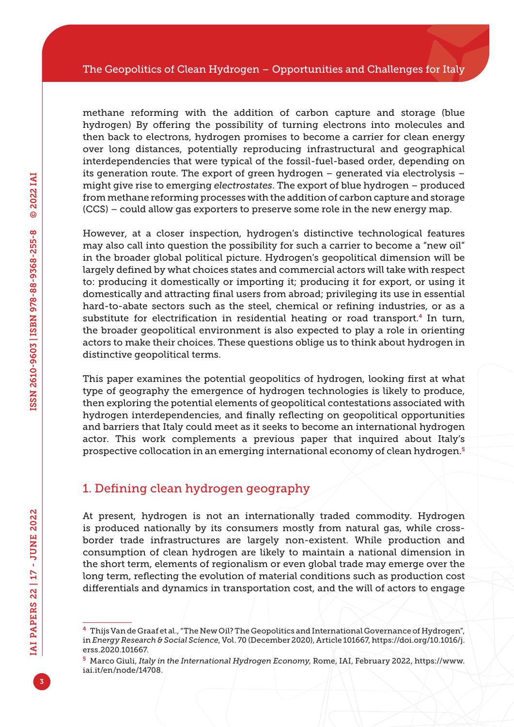methane reforming with the addition of carbon capture and storage (blue hydrogen) By offering the possibility of turning electrons into molecules and then back to electrons, hydrogen promises to become a carrier for clean energy over long distances, potentially reproducing infrastructural and geographical interdependencies that were typical of the fossil-fuel-based order, depending on its generation route. The export of green hydrogen – generated via electrolysis – might give rise to emerging *electrostates*. The export of blue hydrogen – produced from methane reforming processes with the addition of carbon capture and storage (CCS) – could allow gas exporters to preserve some role in the new energy map.

However, at a closer inspection, hydrogen's distinctive technological features may also call into question the possibility for such a carrier to become a "new oil" in the broader global political picture. Hydrogen's geopolitical dimension will be largely defined by what choices states and commercial actors will take with respect to: producing it domestically or importing it; producing it for export, or using it domestically and attracting final users from abroad; privileging its use in essential hard-to-abate sectors such as the steel, chemical or refining industries, or as a substitute for electrification in residential heating or road transport.4 In turn, the broader geopolitical environment is also expected to play a role in orienting actors to make their choices. These questions oblige us to think about hydrogen in distinctive geopolitical terms.

This paper examines the potential geopolitics of hydrogen, looking first at what type of geography the emergence of hydrogen technologies is likely to produce, then exploring the potential elements of geopolitical contestations associated with hydrogen interdependencies, and finally reflecting on geopolitical opportunities and barriers that Italy could meet as it seeks to become an international hydrogen actor. This work complements a previous paper that inquired about Italy's prospective collocation in an emerging international economy of clean hydrogen.<sup>5</sup>

## 1. Defining clean hydrogen geography

At present, hydrogen is not an internationally traded commodity. Hydrogen is produced nationally by its consumers mostly from natural gas, while crossborder trade infrastructures are largely non-existent. While production and consumption of clean hydrogen are likely to maintain a national dimension in the short term, elements of regionalism or even global trade may emerge over the long term, reflecting the evolution of material conditions such as production cost differentials and dynamics in transportation cost, and the will of actors to engage

<sup>4</sup> Thijs Van de Graaf et al., "The New Oil? The Geopolitics and International Governance of Hydrogen", in *Energy Research & Social Science*, Vol. 70 (December 2020), Article 101667, [https://doi.org/10.1016/j.](https://doi.org/10.1016/j.erss.2020.101667) [erss.2020.101667.](https://doi.org/10.1016/j.erss.2020.101667)

<sup>5</sup> Marco Giuli, *Italy in the International Hydrogen Economy*, Rome, IAI, February 2022, [https://www.](https://www.iai.it/en/node/14708) [iai.it/en/node/14708](https://www.iai.it/en/node/14708).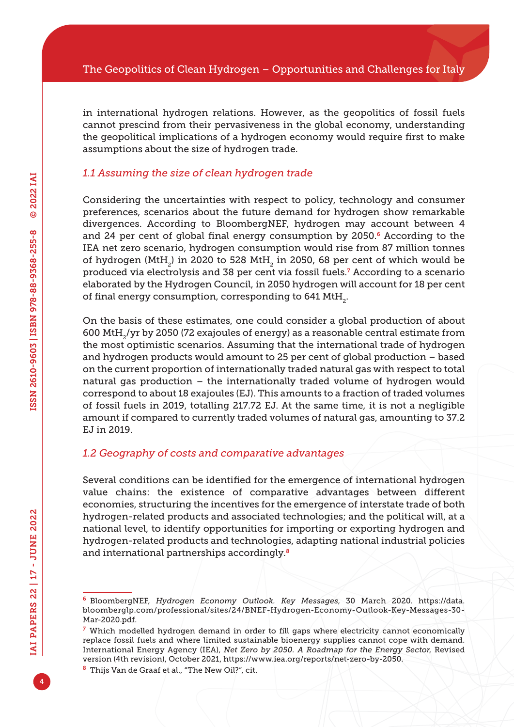in international hydrogen relations. However, as the geopolitics of fossil fuels cannot prescind from their pervasiveness in the global economy, understanding the geopolitical implications of a hydrogen economy would require first to make assumptions about the size of hydrogen trade.

#### *1.1 Assuming the size of clean hydrogen trade*

Considering the uncertainties with respect to policy, technology and consumer preferences, scenarios about the future demand for hydrogen show remarkable divergences. According to BloombergNEF, hydrogen may account between 4 and 24 per cent of global final energy consumption by 2050.<sup>6</sup> According to the IEA net zero scenario, hydrogen consumption would rise from 87 million tonnes of hydrogen (MtH<sub>2</sub>) in 2020 to 528 MtH<sub>2</sub> in 2050, 68 per cent of which would be produced via electrolysis and 38 per cent via fossil fuels.<sup>7</sup> According to a scenario elaborated by the Hydrogen Council, in 2050 hydrogen will account for 18 per cent of final energy consumption, corresponding to 641 MtH<sub>2</sub>.

On the basis of these estimates, one could consider a global production of about 600 MtH2/yr by 2050 (72 exajoules of energy) as a reasonable central estimate from the most optimistic scenarios. Assuming that the international trade of hydrogen and hydrogen products would amount to 25 per cent of global production – based on the current proportion of internationally traded natural gas with respect to total natural gas production – the internationally traded volume of hydrogen would correspond to about 18 exajoules (EJ). This amounts to a fraction of traded volumes of fossil fuels in 2019, totalling 217.72 EJ. At the same time, it is not a negligible amount if compared to currently traded volumes of natural gas, amounting to 37.2 EJ in 2019.

#### *1.2 Geography of costs and comparative advantages*

Several conditions can be identified for the emergence of international hydrogen value chains: the existence of comparative advantages between different economies, structuring the incentives for the emergence of interstate trade of both hydrogen-related products and associated technologies; and the political will, at a national level, to identify opportunities for importing or exporting hydrogen and hydrogen-related products and technologies, adapting national industrial policies and international partnerships accordingly.<sup>8</sup>

<sup>6</sup> BloombergNEF, *Hydrogen Economy Outlook. Key Messages*, 30 March 2020. [https://data.](https://data.bloomberglp.com/professional/sites/24/BNEF-Hydrogen-Economy-Outlook-Key-Messages-30-Mar-2020.pdf) [bloomberglp.com/professional/sites/24/BNEF-Hydrogen-Economy-Outlook-Key-Messages-30-](https://data.bloomberglp.com/professional/sites/24/BNEF-Hydrogen-Economy-Outlook-Key-Messages-30-Mar-2020.pdf) [Mar-2020.pdf](https://data.bloomberglp.com/professional/sites/24/BNEF-Hydrogen-Economy-Outlook-Key-Messages-30-Mar-2020.pdf).

 $<sup>7</sup>$  Which modelled hydrogen demand in order to fill gaps where electricity cannot economically</sup> replace fossil fuels and where limited sustainable bioenergy supplies cannot cope with demand. International Energy Agency (IEA), *Net Zero by 2050. A Roadmap for the Energy Sector*, Revised version (4th revision), October 2021,<https://www.iea.org/reports/net-zero-by-2050>.

<sup>&</sup>lt;sup>8</sup> Thijs Van de Graaf et al., "The New Oil?", cit.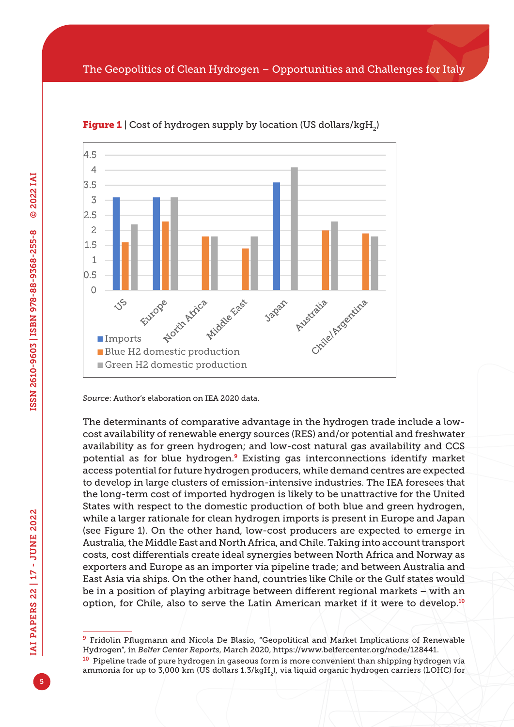

**Figure 1** | Cost of hydrogen supply by location (US dollars/kgH<sub>2</sub>)

*Source*: Author's elaboration on IEA 2020 data.

The determinants of comparative advantage in the hydrogen trade include a lowcost availability of renewable energy sources (RES) and/or potential and freshwater availability as for green hydrogen; and low-cost natural gas availability and CCS potential as for blue hydrogen.9 Existing gas interconnections identify market access potential for future hydrogen producers, while demand centres are expected to develop in large clusters of emission-intensive industries. The IEA foresees that the long-term cost of imported hydrogen is likely to be unattractive for the United States with respect to the domestic production of both blue and green hydrogen, while a larger rationale for clean hydrogen imports is present in Europe and Japan (see Figure 1). On the other hand, low-cost producers are expected to emerge in Australia, the Middle East and North Africa, and Chile. Taking into account transport costs, cost differentials create ideal synergies between North Africa and Norway as exporters and Europe as an importer via pipeline trade; and between Australia and East Asia via ships. On the other hand, countries like Chile or the Gulf states would be in a position of playing arbitrage between different regional markets – with an option, for Chile, also to serve the Latin American market if it were to develop.<sup>10</sup>

<sup>9</sup> Fridolin Pflugmann and Nicola De Blasio, "Geopolitical and Market Implications of Renewable Hydrogen", in *Belfer Center Reports*, March 2020,<https://www.belfercenter.org/node/128441>.

<sup>&</sup>lt;sup>10</sup> Pipeline trade of pure hydrogen in gaseous form is more convenient than shipping hydrogen via ammonia for up to 3,000 km (US dollars <1.3/kgH><sub>2</sub>), via liquid organic hydrogen carriers (LOHC) for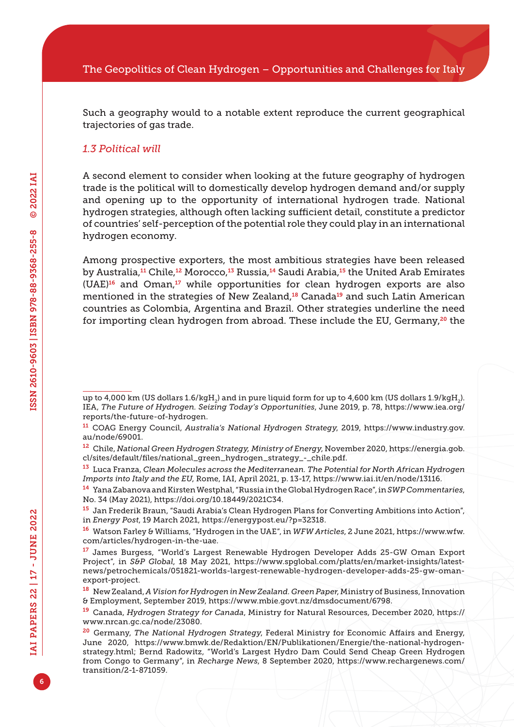Such a geography would to a notable extent reproduce the current geographical trajectories of gas trade.

#### *1.3 Political will*

A second element to consider when looking at the future geography of hydrogen trade is the political will to domestically develop hydrogen demand and/or supply and opening up to the opportunity of international hydrogen trade. National hydrogen strategies, although often lacking sufficient detail, constitute a predictor of countries' self-perception of the potential role they could play in an international hydrogen economy.

Among prospective exporters, the most ambitious strategies have been released by Australia,<sup>11</sup> Chile,<sup>12</sup> Morocco,<sup>13</sup> Russia,<sup>14</sup> Saudi Arabia,<sup>15</sup> the United Arab Emirates  $(UAE)^{16}$  and Oman,<sup>17</sup> while opportunities for clean hydrogen exports are also mentioned in the strategies of New Zealand,<sup>18</sup> Canada<sup>19</sup> and such Latin American countries as Colombia, Argentina and Brazil. Other strategies underline the need for importing clean hydrogen from abroad. These include the EU, Germany,<sup>20</sup> the

up to 4,000 km (US dollars 1.6/kgH<sub>2</sub>) and in pure liquid form for up to 4,600 km (US dollars <1.9/kgH><sub>2</sub>). IEA, *The Future of Hydrogen. Seizing Today's Opportunities*, June 2019, p. 78, [https://www.iea.org/](https://www.iea.org/reports/the-future-of-hydrogen) [reports/the-future-of-hydrogen.](https://www.iea.org/reports/the-future-of-hydrogen)

<sup>11</sup> COAG Energy Council, *Australia's National Hydrogen Strategy*, 2019, [https://www.industry.gov.](https://www.industry.gov.au/node/69001) [au/node/69001.](https://www.industry.gov.au/node/69001)

<sup>12</sup> Chile, *National Green Hydrogen Strategy, Ministry of Energy*, November 2020, [https://energia.gob.](https://energia.gob.cl/sites/default/files/national_green_hydrogen_strategy_-_chile.pdf) [cl/sites/default/files/national\\_green\\_hydrogen\\_strategy\\_-\\_chile.pdf](https://energia.gob.cl/sites/default/files/national_green_hydrogen_strategy_-_chile.pdf).

<sup>13</sup> Luca Franza, *Clean Molecules across the Mediterranean. The Potential for North African Hydrogen Imports into Italy and the EU*, Rome, IAI, April 2021, p. 13-17, <https://www.iai.it/en/node/13116>.

<sup>14</sup> Yana Zabanova and Kirsten Westphal, "Russia in the Global Hydrogen Race", in *SWP Commentaries*, No. 34 (May 2021), <https://doi.org/10.18449/2021C34>.

<sup>15</sup> Jan Frederik Braun, "Saudi Arabia's Clean Hydrogen Plans for Converting Ambitions into Action", in *Energy Post*, 19 March 2021, [https://energypost.eu/?p=32318.](https://energypost.eu/?p=32318)

<sup>16</sup> Watson Farley & Williams, "Hydrogen in the UAE", in *WFW Articles*, 2 June 2021, [https://www.wfw.](https://www.wfw.com/articles/hydrogen) [com/articles/hydrogen](https://www.wfw.com/articles/hydrogen)-in-the-uae.

<sup>17</sup> James Burgess, "World's Largest Renewable Hydrogen Developer Adds 25-GW Oman Export Project", in *S&P Global*, 18 May 2021, [https://www.spglobal.com/platts/en/market-insights/latest](https://www.spglobal.com/platts/en/market-insights/latest-news/petrochemicals/051821-worlds-largest-renewable-hydrogen-developer-adds-25-gw-oman-export-project)[news/petrochemicals/051821-worlds-largest-renewable-hydrogen-developer-adds-25-gw-oman](https://www.spglobal.com/platts/en/market-insights/latest-news/petrochemicals/051821-worlds-largest-renewable-hydrogen-developer-adds-25-gw-oman-export-project)[export-project](https://www.spglobal.com/platts/en/market-insights/latest-news/petrochemicals/051821-worlds-largest-renewable-hydrogen-developer-adds-25-gw-oman-export-project).

<sup>18</sup> New Zealand, *A Vision for Hydrogen in New Zealand. Green Paper*, Ministry of Business, Innovation & Employment, September 2019, <https://www.mbie.govt.nz/dmsdocument/6798>.

<sup>19</sup> Canada, *Hydrogen Strategy for Canada*, Ministry for Natural Resources, December 2020, [https://](https://www.nrcan.gc.ca/node/23080) [www.nrcan.gc.ca/node/23080.](https://www.nrcan.gc.ca/node/23080)

<sup>20</sup> Germany, *The National Hydrogen Strategy*, Federal Ministry for Economic Affairs and Energy, June 2020, [https://www.bmwk.de/Redaktion/EN/Publikationen/Energie/the-national-hydrogen](https://www.bmwk.de/Redaktion/EN/Publikationen/Energie/the-national-hydrogen-strategy.html)[strategy.html](https://www.bmwk.de/Redaktion/EN/Publikationen/Energie/the-national-hydrogen-strategy.html); Bernd Radowitz, "World's Largest Hydro Dam Could Send Cheap Green Hydrogen from Congo to Germany", in *Recharge News*, 8 September 2020, [https://www.rechargenews.com/](https://www.rechargenews.com/transition/2-1-871059) [transition/2-1-871059.](https://www.rechargenews.com/transition/2-1-871059)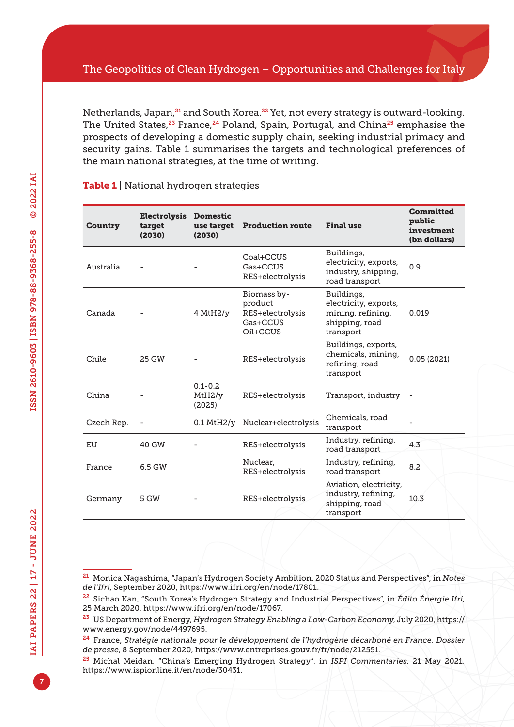Netherlands, Japan, <sup>21</sup> and South Korea.<sup>22</sup> Yet, not every strategy is outward-looking. The United States,<sup>23</sup> France,<sup>24</sup> Poland, Spain, Portugal, and China<sup>25</sup> emphasise the prospects of developing a domestic supply chain, seeking industrial primacy and security gains. Table 1 summarises the targets and technological preferences of the main national strategies, at the time of writing.

| Country    | <b>Electrolysis</b><br>target<br>(2030) | <b>Domestic</b><br>use target<br>(2030) | <b>Production route</b>                                            | <b>Final use</b>                                                                        | <b>Committed</b><br>public<br>investment<br>(bn dollars) |
|------------|-----------------------------------------|-----------------------------------------|--------------------------------------------------------------------|-----------------------------------------------------------------------------------------|----------------------------------------------------------|
| Australia  |                                         |                                         | Coal+CCUS<br>Gas+CCUS<br>RES+electrolysis                          | Buildings,<br>electricity, exports,<br>industry, shipping,<br>road transport            | 09                                                       |
| Canada     |                                         | 4 MHz/v                                 | Biomass by-<br>product<br>RES+electrolysis<br>Gas+CCUS<br>Oil+CCUS | Buildings,<br>electricity, exports,<br>mining, refining,<br>shipping, road<br>transport | 0.019                                                    |
| Chile      | 25 GW                                   |                                         | RES+electrolysis                                                   | Buildings, exports,<br>chemicals, mining,<br>refining, road<br>transport                | 0.05(2021)                                               |
| China      |                                         | $0.1 - 0.2$<br>MtH2/y<br>(2025)         | RES+electrolysis                                                   | Transport, industry                                                                     |                                                          |
| Czech Rep. |                                         |                                         | 0.1 MtH2/y Nuclear+electrolysis                                    | Chemicals, road<br>transport                                                            |                                                          |
| EU         | 40 GW                                   |                                         | RES+electrolysis                                                   | Industry, refining,<br>road transport                                                   | 4.3                                                      |
| France     | 6.5 GW                                  |                                         | Nuclear,<br>RES+electrolysis                                       | Industry, refining,<br>road transport                                                   | 8.2                                                      |
| Germany    | 5 GW                                    |                                         | RES+electrolysis                                                   | Aviation, electricity,<br>industry, refining,<br>shipping, road<br>transport            | 10.3                                                     |

#### Table 1 | National hydrogen strategies

<sup>21</sup> Monica Nagashima, "Japan's Hydrogen Society Ambition. 2020 Status and Perspectives", in *Notes de l'Ifri*, September 2020,<https://www.ifri.org/en/node/17801>.

<sup>22</sup> Sichao Kan, "South Korea's Hydrogen Strategy and Industrial Perspectives", in *Édito Énergie Ifri*, 25 March 2020, [https://www.ifri.org/en/node/17067.](https://www.ifri.org/en/node/17067)

<sup>23</sup> US Department of Energy, *Hydrogen Strategy Enabling a Low-Carbon Economy*, July 2020, [https://](https://www.energy.gov/node/4497695) [www.energy.gov/node/4497695.](https://www.energy.gov/node/4497695)

<sup>24</sup> France, *Stratégie nationale pour le développement de l'hydrogène décarboné en France. Dossier de presse*, 8 September 2020,<https://www.entreprises.gouv.fr/fr/node/212551>.

<sup>25</sup> Michal Meidan, "China's Emerging Hydrogen Strategy", in *ISPI Commentaries*, 21 May 2021, [https://www.ispionline.it/en/node/30431.](https://www.ispionline.it/en/node/30431)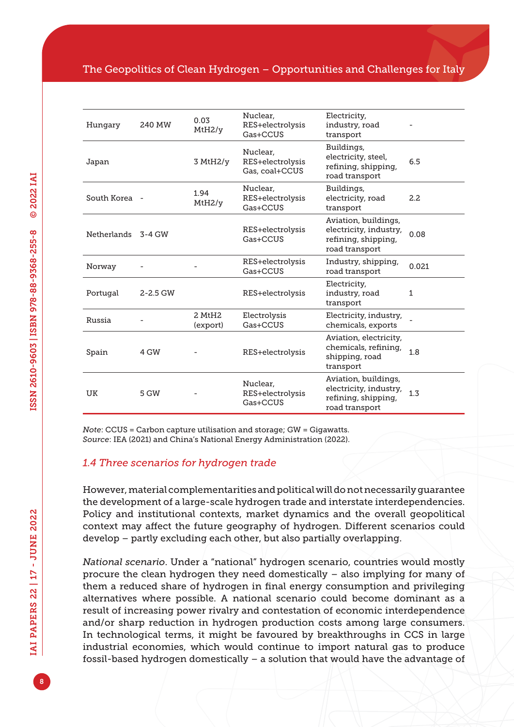#### The Geopolitics of Clean Hydrogen – Opportunities and Challenges for Italy

| Hungary       | 240 MW       | 0.03<br>MtH2/v                 | Nuclear.<br>RES+electrolysis<br>Gas+CCUS       | Electricity,<br>industry, road<br>transport                                             |       |
|---------------|--------------|--------------------------------|------------------------------------------------|-----------------------------------------------------------------------------------------|-------|
| Japan         |              | 3 MHz/y                        | Nuclear.<br>RES+electrolysis<br>Gas, coal+CCUS | Buildings,<br>electricity, steel,<br>refining, shipping,<br>road transport              | 6.5   |
| South Korea - |              | 1.94<br>MtH2/v                 | Nuclear.<br>RES+electrolysis<br>Gas+CCUS       | Buildings,<br>electricity, road<br>transport                                            | 2.2   |
| Netherlands   | 3-4 GW       |                                | RES+electrolysis<br>Gas+CCUS                   | Aviation, buildings,<br>electricity, industry,<br>refining, shipping,<br>road transport | 0.08  |
| Norway        |              |                                | RES+electrolysis<br>Gas+CCUS                   | Industry, shipping,<br>road transport                                                   | 0.021 |
| Portugal      | $2 - 2.5$ GW |                                | RES+electrolysis                               | Electricity,<br>industry, road<br>transport                                             | 1     |
| Russia        |              | 2 MtH <sub>2</sub><br>(export) | Electrolysis<br>Gas+CCUS                       | Electricity, industry,<br>chemicals, exports                                            |       |
| Spain         | 4 GW         |                                | RES+electrolysis                               | Aviation, electricity,<br>chemicals, refining,<br>shipping, road<br>transport           | 1.8   |
| <b>UK</b>     | 5 GW         |                                | Nuclear.<br>RES+electrolysis<br>Gas+CCUS       | Aviation, buildings,<br>electricity, industry,<br>refining, shipping,<br>road transport | 1.3   |

*Note*: CCUS = Carbon capture utilisation and storage; GW = Gigawatts. *Source*: IEA (2021) and China's National Energy Administration (2022).

#### *1.4 Three scenarios for hydrogen trade*

However, material complementarities and political will do not necessarily guarantee the development of a large-scale hydrogen trade and interstate interdependencies. Policy and institutional contexts, market dynamics and the overall geopolitical context may affect the future geography of hydrogen. Different scenarios could develop – partly excluding each other, but also partially overlapping.

*National scenario*. Under a "national" hydrogen scenario, countries would mostly procure the clean hydrogen they need domestically – also implying for many of them a reduced share of hydrogen in final energy consumption and privileging alternatives where possible. A national scenario could become dominant as a result of increasing power rivalry and contestation of economic interdependence and/or sharp reduction in hydrogen production costs among large consumers. In technological terms, it might be favoured by breakthroughs in CCS in large industrial economies, which would continue to import natural gas to produce fossil-based hydrogen domestically – a solution that would have the advantage of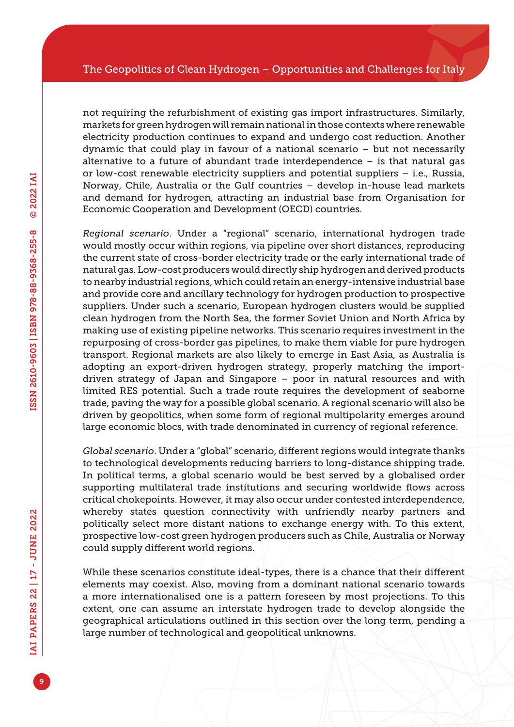not requiring the refurbishment of existing gas import infrastructures. Similarly, markets for green hydrogen will remain national in those contexts where renewable electricity production continues to expand and undergo cost reduction. Another dynamic that could play in favour of a national scenario – but not necessarily alternative to a future of abundant trade interdependence – is that natural gas or low-cost renewable electricity suppliers and potential suppliers – i.e., Russia, Norway, Chile, Australia or the Gulf countries – develop in-house lead markets and demand for hydrogen, attracting an industrial base from Organisation for Economic Cooperation and Development (OECD) countries.

*Regional scenario*. Under a "regional" scenario, international hydrogen trade would mostly occur within regions, via pipeline over short distances, reproducing the current state of cross-border electricity trade or the early international trade of natural gas. Low-cost producers would directly ship hydrogen and derived products to nearby industrial regions, which could retain an energy-intensive industrial base and provide core and ancillary technology for hydrogen production to prospective suppliers. Under such a scenario, European hydrogen clusters would be supplied clean hydrogen from the North Sea, the former Soviet Union and North Africa by making use of existing pipeline networks. This scenario requires investment in the repurposing of cross-border gas pipelines, to make them viable for pure hydrogen transport. Regional markets are also likely to emerge in East Asia, as Australia is adopting an export-driven hydrogen strategy, properly matching the importdriven strategy of Japan and Singapore – poor in natural resources and with limited RES potential. Such a trade route requires the development of seaborne trade, paving the way for a possible global scenario. A regional scenario will also be driven by geopolitics, when some form of regional multipolarity emerges around large economic blocs, with trade denominated in currency of regional reference.

*Global scenario*. Under a "global" scenario, different regions would integrate thanks to technological developments reducing barriers to long-distance shipping trade. In political terms, a global scenario would be best served by a globalised order supporting multilateral trade institutions and securing worldwide flows across critical chokepoints. However, it may also occur under contested interdependence, whereby states question connectivity with unfriendly nearby partners and politically select more distant nations to exchange energy with. To this extent, prospective low-cost green hydrogen producers such as Chile, Australia or Norway could supply different world regions.

While these scenarios constitute ideal-types, there is a chance that their different elements may coexist. Also, moving from a dominant national scenario towards a more internationalised one is a pattern foreseen by most projections. To this extent, one can assume an interstate hydrogen trade to develop alongside the geographical articulations outlined in this section over the long term, pending a large number of technological and geopolitical unknowns.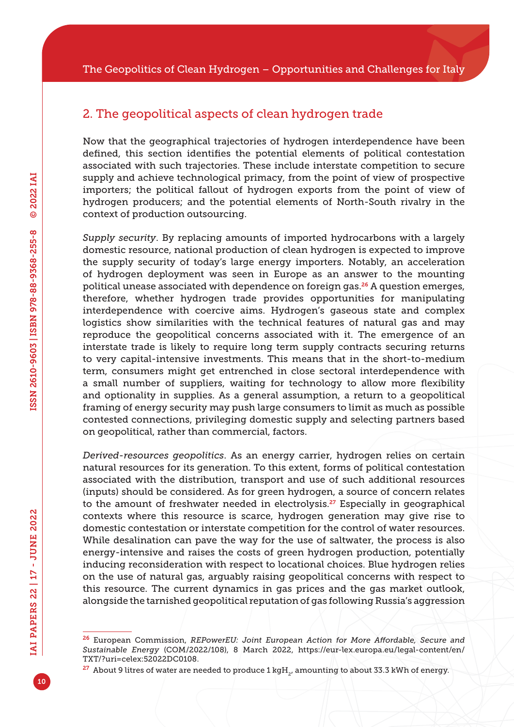## 2. The geopolitical aspects of clean hydrogen trade

Now that the geographical trajectories of hydrogen interdependence have been defined, this section identifies the potential elements of political contestation associated with such trajectories. These include interstate competition to secure supply and achieve technological primacy, from the point of view of prospective importers; the political fallout of hydrogen exports from the point of view of hydrogen producers; and the potential elements of North-South rivalry in the context of production outsourcing.

*Supply security*. By replacing amounts of imported hydrocarbons with a largely domestic resource, national production of clean hydrogen is expected to improve the supply security of today's large energy importers. Notably, an acceleration of hydrogen deployment was seen in Europe as an answer to the mounting political unease associated with dependence on foreign gas.26 A question emerges, therefore, whether hydrogen trade provides opportunities for manipulating interdependence with coercive aims. Hydrogen's gaseous state and complex logistics show similarities with the technical features of natural gas and may reproduce the geopolitical concerns associated with it. The emergence of an interstate trade is likely to require long term supply contracts securing returns to very capital-intensive investments. This means that in the short-to-medium term, consumers might get entrenched in close sectoral interdependence with a small number of suppliers, waiting for technology to allow more flexibility and optionality in supplies. As a general assumption, a return to a geopolitical framing of energy security may push large consumers to limit as much as possible contested connections, privileging domestic supply and selecting partners based on geopolitical, rather than commercial, factors.

*Derived-resources geopolitics*. As an energy carrier, hydrogen relies on certain natural resources for its generation. To this extent, forms of political contestation associated with the distribution, transport and use of such additional resources (inputs) should be considered. As for green hydrogen, a source of concern relates to the amount of freshwater needed in electrolysis.<sup>27</sup> Especially in geographical contexts where this resource is scarce, hydrogen generation may give rise to domestic contestation or interstate competition for the control of water resources. While desalination can pave the way for the use of saltwater, the process is also energy-intensive and raises the costs of green hydrogen production, potentially inducing reconsideration with respect to locational choices. Blue hydrogen relies on the use of natural gas, arguably raising geopolitical concerns with respect to this resource. The current dynamics in gas prices and the gas market outlook, alongside the tarnished geopolitical reputation of gas following Russia's aggression

<sup>26</sup> European Commission, *REPowerEU: Joint European Action for More Affordable, Secure and Sustainable Energy* (COM/2022/108), 8 March 2022, [https://eur-lex.europa.eu/legal-content/en/](https://eur-lex.europa.eu/legal-content/en/TXT/?uri=celex:52022DC0108) [TXT/?uri=celex:52022DC0108.](https://eur-lex.europa.eu/legal-content/en/TXT/?uri=celex:52022DC0108)

 $27$  About 9 litres of water are needed to produce 1 kgH<sub>2</sub>, amounting to about 33.3 kWh of energy.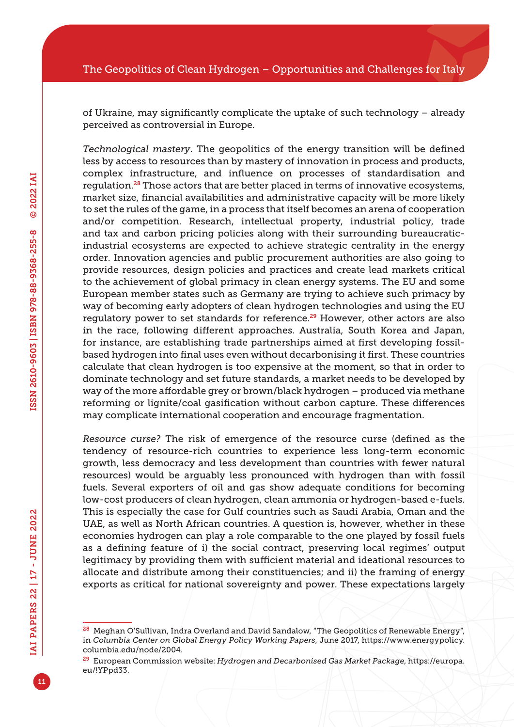of Ukraine, may significantly complicate the uptake of such technology – already perceived as controversial in Europe.

*Technological mastery*. The geopolitics of the energy transition will be defined less by access to resources than by mastery of innovation in process and products, complex infrastructure, and influence on processes of standardisation and regulation.28 Those actors that are better placed in terms of innovative ecosystems, market size, financial availabilities and administrative capacity will be more likely to set the rules of the game, in a process that itself becomes an arena of cooperation and/or competition. Research, intellectual property, industrial policy, trade and tax and carbon pricing policies along with their surrounding bureaucraticindustrial ecosystems are expected to achieve strategic centrality in the energy order. Innovation agencies and public procurement authorities are also going to provide resources, design policies and practices and create lead markets critical to the achievement of global primacy in clean energy systems. The EU and some European member states such as Germany are trying to achieve such primacy by way of becoming early adopters of clean hydrogen technologies and using the EU regulatory power to set standards for reference.<sup>29</sup> However, other actors are also in the race, following different approaches. Australia, South Korea and Japan, for instance, are establishing trade partnerships aimed at first developing fossilbased hydrogen into final uses even without decarbonising it first. These countries calculate that clean hydrogen is too expensive at the moment, so that in order to dominate technology and set future standards, a market needs to be developed by way of the more affordable grey or brown/black hydrogen – produced via methane reforming or lignite/coal gasification without carbon capture. These differences may complicate international cooperation and encourage fragmentation.

*Resource curse?* The risk of emergence of the resource curse (defined as the tendency of resource-rich countries to experience less long-term economic growth, less democracy and less development than countries with fewer natural resources) would be arguably less pronounced with hydrogen than with fossil fuels. Several exporters of oil and gas show adequate conditions for becoming low-cost producers of clean hydrogen, clean ammonia or hydrogen-based e-fuels. This is especially the case for Gulf countries such as Saudi Arabia, Oman and the UAE, as well as North African countries. A question is, however, whether in these economies hydrogen can play a role comparable to the one played by fossil fuels as a defining feature of i) the social contract, preserving local regimes' output legitimacy by providing them with sufficient material and ideational resources to allocate and distribute among their constituencies; and ii) the framing of energy exports as critical for national sovereignty and power. These expectations largely

<sup>28</sup> Meghan O'Sullivan, Indra Overland and David Sandalow, "The Geopolitics of Renewable Energy", in *Columbia Center on Global Energy Policy Working Papers*, June 2017, [https://www.energypolicy.](https://www.energypolicy.columbia.edu/node/2004) [columbia.edu/node/2004](https://www.energypolicy.columbia.edu/node/2004).

<sup>29</sup> European Commission website: *Hydrogen and Decarbonised Gas Market Package*, [https://europa.](https://europa.eu/!YPpd33) [eu/!YPpd33.](https://europa.eu/!YPpd33)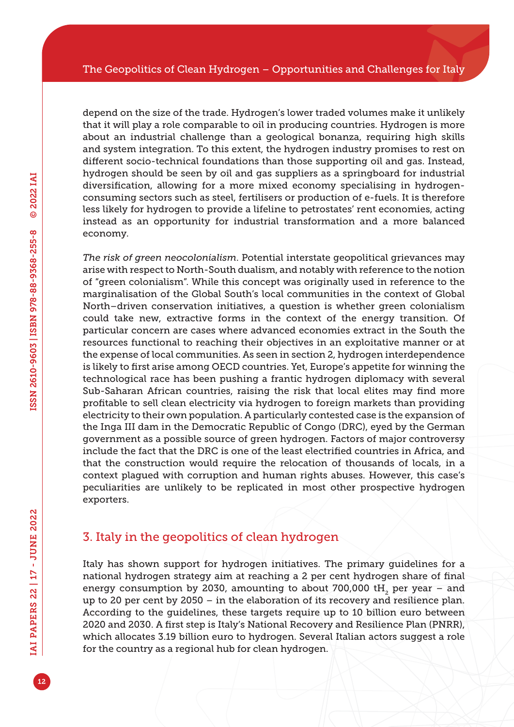depend on the size of the trade. Hydrogen's lower traded volumes make it unlikely that it will play a role comparable to oil in producing countries. Hydrogen is more about an industrial challenge than a geological bonanza, requiring high skills and system integration. To this extent, the hydrogen industry promises to rest on different socio-technical foundations than those supporting oil and gas. Instead, hydrogen should be seen by oil and gas suppliers as a springboard for industrial diversification, allowing for a more mixed economy specialising in hydrogenconsuming sectors such as steel, fertilisers or production of e-fuels. It is therefore less likely for hydrogen to provide a lifeline to petrostates' rent economies, acting instead as an opportunity for industrial transformation and a more balanced economy.

*The risk of green neocolonialism*. Potential interstate geopolitical grievances may arise with respect to North-South dualism, and notably with reference to the notion of "green colonialism". While this concept was originally used in reference to the marginalisation of the Global South's local communities in the context of Global North–driven conservation initiatives, a question is whether green colonialism could take new, extractive forms in the context of the energy transition. Of particular concern are cases where advanced economies extract in the South the resources functional to reaching their objectives in an exploitative manner or at the expense of local communities. As seen in section 2, hydrogen interdependence is likely to first arise among OECD countries. Yet, Europe's appetite for winning the technological race has been pushing a frantic hydrogen diplomacy with several Sub-Saharan African countries, raising the risk that local elites may find more profitable to sell clean electricity via hydrogen to foreign markets than providing electricity to their own population. A particularly contested case is the expansion of the Inga III dam in the Democratic Republic of Congo (DRC), eyed by the German government as a possible source of green hydrogen. Factors of major controversy include the fact that the DRC is one of the least electrified countries in Africa, and that the construction would require the relocation of thousands of locals, in a context plagued with corruption and human rights abuses. However, this case's peculiarities are unlikely to be replicated in most other prospective hydrogen exporters.

## 3. Italy in the geopolitics of clean hydrogen

Italy has shown support for hydrogen initiatives. The primary guidelines for a national hydrogen strategy aim at reaching a 2 per cent hydrogen share of final energy consumption by 2030, amounting to about 700,000 tH<sub>2</sub> per year – and up to 20 per cent by 2050 – in the elaboration of its recovery and resilience plan. According to the guidelines, these targets require up to 10 billion euro between 2020 and 2030. A first step is Italy's National Recovery and Resilience Plan (PNRR), which allocates 3.19 billion euro to hydrogen. Several Italian actors suggest a role for the country as a regional hub for clean hydrogen.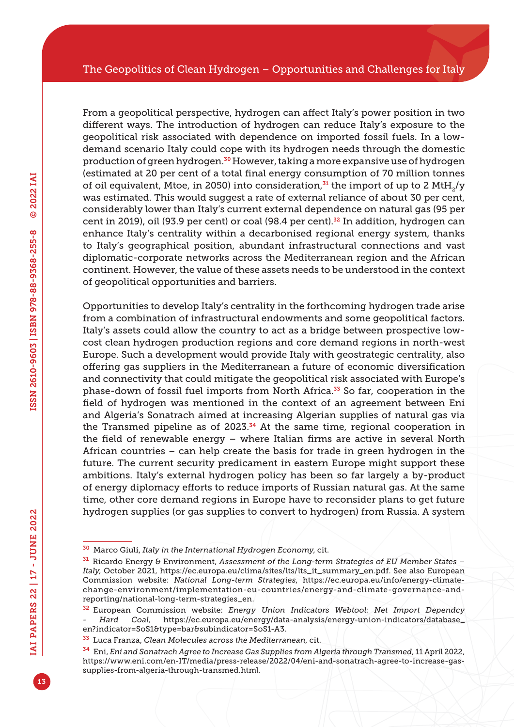From a geopolitical perspective, hydrogen can affect Italy's power position in two different ways. The introduction of hydrogen can reduce Italy's exposure to the geopolitical risk associated with dependence on imported fossil fuels. In a lowdemand scenario Italy could cope with its hydrogen needs through the domestic production of green hydrogen.30 However, taking a more expansive use of hydrogen (estimated at 20 per cent of a total final energy consumption of 70 million tonnes of oil equivalent, Mtoe, in 2050) into consideration, $31$  the import of up to 2 MtH<sub>2</sub>/y was estimated. This would suggest a rate of external reliance of about 30 per cent, considerably lower than Italy's current external dependence on natural gas (95 per cent in 2019), oil (93.9 per cent) or coal (98.4 per cent).<sup>32</sup> In addition, hydrogen can enhance Italy's centrality within a decarbonised regional energy system, thanks to Italy's geographical position, abundant infrastructural connections and vast diplomatic-corporate networks across the Mediterranean region and the African continent. However, the value of these assets needs to be understood in the context of geopolitical opportunities and barriers.

Opportunities to develop Italy's centrality in the forthcoming hydrogen trade arise from a combination of infrastructural endowments and some geopolitical factors. Italy's assets could allow the country to act as a bridge between prospective lowcost clean hydrogen production regions and core demand regions in north-west Europe. Such a development would provide Italy with geostrategic centrality, also offering gas suppliers in the Mediterranean a future of economic diversification and connectivity that could mitigate the geopolitical risk associated with Europe's phase-down of fossil fuel imports from North Africa.<sup>33</sup> So far, cooperation in the field of hydrogen was mentioned in the context of an agreement between Eni and Algeria's Sonatrach aimed at increasing Algerian supplies of natural gas via the Transmed pipeline as of 2023. $34$  At the same time, regional cooperation in the field of renewable energy – where Italian firms are active in several North African countries – can help create the basis for trade in green hydrogen in the future. The current security predicament in eastern Europe might support these ambitions. Italy's external hydrogen policy has been so far largely a by-product of energy diplomacy efforts to reduce imports of Russian natural gas. At the same time, other core demand regions in Europe have to reconsider plans to get future hydrogen supplies (or gas supplies to convert to hydrogen) from Russia. A system

<sup>30</sup> Marco Giuli, *Italy in the International Hydrogen Economy*, cit.

<sup>31</sup> Ricardo Energy & Environment, *Assessment of the Long-term Strategies of EU Member States – Italy*, October 2021, [https://ec.europa.eu/clima/sites/lts/lts\\_it\\_summary\\_en.pdf](https://ec.europa.eu/clima/sites/lts/lts_it_summary_en.pdf). See also European Commission website: *National Long-term Strategies*, [https://ec.europa.eu/info/energy-climate](https://ec.europa.eu/info/energy-climate-change-environment/implementation-eu-countries/energy-and-climate-governance-and-reporting/national)[change-environment/implementation-eu-countries/energy-and-climate-governance-and](https://ec.europa.eu/info/energy-climate-change-environment/implementation-eu-countries/energy-and-climate-governance-and-reporting/national)[reporting/national](https://ec.europa.eu/info/energy-climate-change-environment/implementation-eu-countries/energy-and-climate-governance-and-reporting/national)-long-term-strategies\_en.

<sup>32</sup> European Commission website: *Energy Union Indicators Webtool: Net Import Dependcy - Hard Coal*, [https://ec.europa.eu/energy/data-analysis/energy-union-indicators/database\\_](https://ec.europa.eu/energy/data-analysis/energy-union-indicators/database_en?indicator=SoS1&type=bar&subindicator=SoS1-A3.) [en?indicator=SoS1&type=bar&subindicator=SoS1-A3.](https://ec.europa.eu/energy/data-analysis/energy-union-indicators/database_en?indicator=SoS1&type=bar&subindicator=SoS1-A3.)

<sup>33</sup> Luca Franza, *Clean Molecules across the Mediterranean*, cit.

<sup>34</sup> Eni, *Eni and Sonatrach Agree to Increase Gas Supplies from Algeria through Transmed*, 11 April 2022, [https://www.eni.com/en-IT/media/press-release/2022/04/eni-and-sonatrach-agree-to-increase-gas](https://www.eni.com/en-IT/media/press-release/2022/04/eni-and-sonatrach-agree-to-increase-gas-supplies-from-algeria-through-transmed.html)[supplies-from-algeria-through-transmed.html.](https://www.eni.com/en-IT/media/press-release/2022/04/eni-and-sonatrach-agree-to-increase-gas-supplies-from-algeria-through-transmed.html)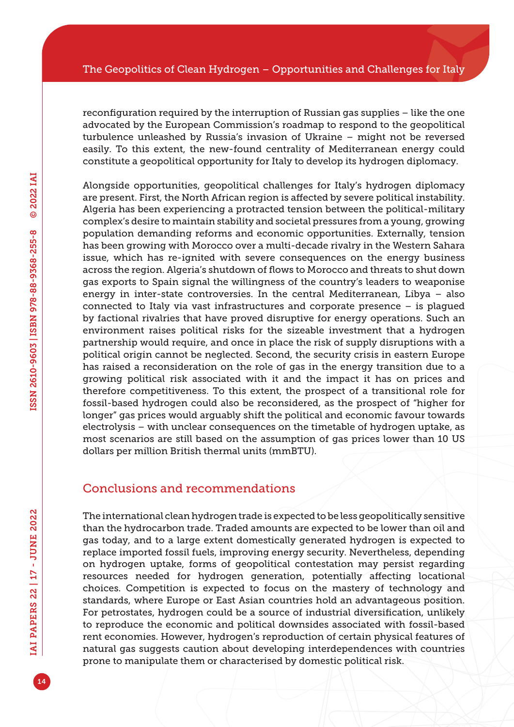reconfiguration required by the interruption of Russian gas supplies – like the one advocated by the European Commission's roadmap to respond to the geopolitical turbulence unleashed by Russia's invasion of Ukraine – might not be reversed easily. To this extent, the new-found centrality of Mediterranean energy could constitute a geopolitical opportunity for Italy to develop its hydrogen diplomacy.

Alongside opportunities, geopolitical challenges for Italy's hydrogen diplomacy are present. First, the North African region is affected by severe political instability. Algeria has been experiencing a protracted tension between the political-military complex's desire to maintain stability and societal pressures from a young, growing population demanding reforms and economic opportunities. Externally, tension has been growing with Morocco over a multi-decade rivalry in the Western Sahara issue, which has re-ignited with severe consequences on the energy business across the region. Algeria's shutdown of flows to Morocco and threats to shut down gas exports to Spain signal the willingness of the country's leaders to weaponise energy in inter-state controversies. In the central Mediterranean, Libya – also connected to Italy via vast infrastructures and corporate presence – is plagued by factional rivalries that have proved disruptive for energy operations. Such an environment raises political risks for the sizeable investment that a hydrogen partnership would require, and once in place the risk of supply disruptions with a political origin cannot be neglected. Second, the security crisis in eastern Europe has raised a reconsideration on the role of gas in the energy transition due to a growing political risk associated with it and the impact it has on prices and therefore competitiveness. To this extent, the prospect of a transitional role for fossil-based hydrogen could also be reconsidered, as the prospect of "higher for longer" gas prices would arguably shift the political and economic favour towards electrolysis – with unclear consequences on the timetable of hydrogen uptake, as most scenarios are still based on the assumption of gas prices lower than 10 US dollars per million British thermal units (mmBTU).

### Conclusions and recommendations

The international clean hydrogen trade is expected to be less geopolitically sensitive than the hydrocarbon trade. Traded amounts are expected to be lower than oil and gas today, and to a large extent domestically generated hydrogen is expected to replace imported fossil fuels, improving energy security. Nevertheless, depending on hydrogen uptake, forms of geopolitical contestation may persist regarding resources needed for hydrogen generation, potentially affecting locational choices. Competition is expected to focus on the mastery of technology and standards, where Europe or East Asian countries hold an advantageous position. For petrostates, hydrogen could be a source of industrial diversification, unlikely to reproduce the economic and political downsides associated with fossil-based rent economies. However, hydrogen's reproduction of certain physical features of natural gas suggests caution about developing interdependences with countries prone to manipulate them or characterised by domestic political risk.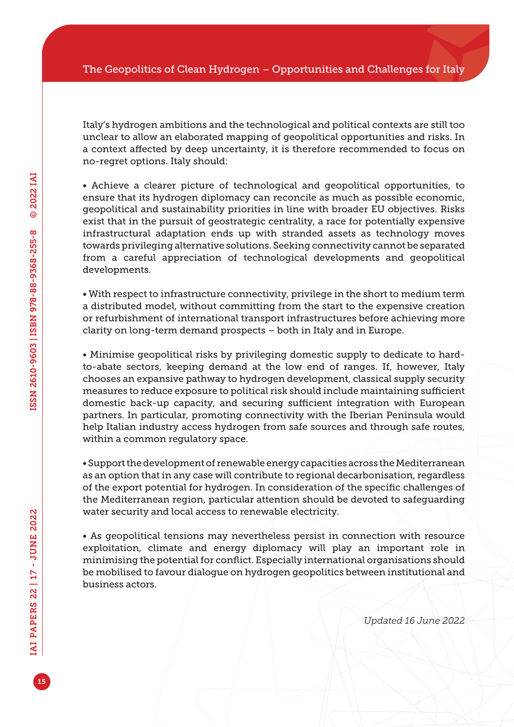Italy's hydrogen ambitions and the technological and political contexts are still too unclear to allow an elaborated mapping of geopolitical opportunities and risks. In a context affected by deep uncertainty, it is therefore recommended to focus on no-regret options. Italy should:

• Achieve a clearer picture of technological and geopolitical opportunities, to ensure that its hydrogen diplomacy can reconcile as much as possible economic, geopolitical and sustainability priorities in line with broader EU objectives. Risks exist that in the pursuit of geostrategic centrality, a race for potentially expensive infrastructural adaptation ends up with stranded assets as technology moves towards privileging alternative solutions. Seeking connectivity cannot be separated from a careful appreciation of technological developments and geopolitical developments.

• With respect to infrastructure connectivity, privilege in the short to medium term a distributed model, without committing from the start to the expensive creation or refurbishment of international transport infrastructures before achieving more clarity on long-term demand prospects – both in Italy and in Europe.

• Minimise geopolitical risks by privileging domestic supply to dedicate to hardto-abate sectors, keeping demand at the low end of ranges. If, however, Italy chooses an expansive pathway to hydrogen development, classical supply security measures to reduce exposure to political risk should include maintaining sufficient domestic back-up capacity, and securing sufficient integration with European partners. In particular, promoting connectivity with the Iberian Peninsula would help Italian industry access hydrogen from safe sources and through safe routes, within a common regulatory space.

• Support the development of renewable energy capacities across the Mediterranean as an option that in any case will contribute to regional decarbonisation, regardless of the export potential for hydrogen. In consideration of the specific challenges of the Mediterranean region, particular attention should be devoted to safeguarding water security and local access to renewable electricity.

• As geopolitical tensions may nevertheless persist in connection with resource exploitation, climate and energy diplomacy will play an important role in minimising the potential for conflict. Especially international organisations should be mobilised to favour dialogue on hydrogen geopolitics between institutional and business actors.

*Updated 16 June 2022*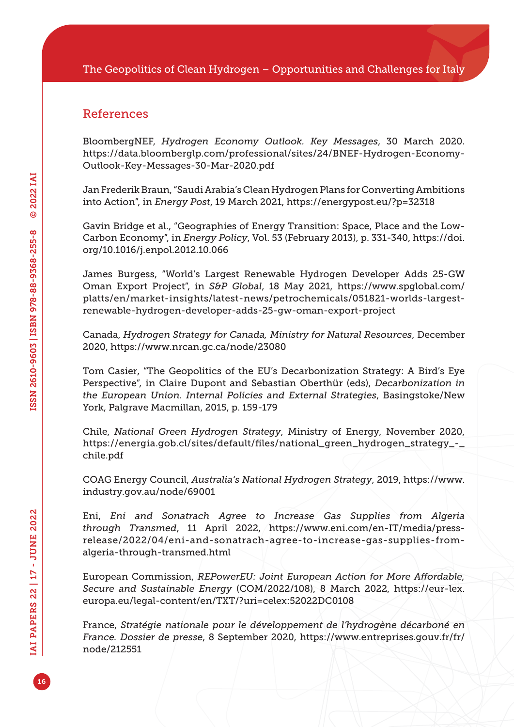### References

BloombergNEF, *Hydrogen Economy Outlook. Key Messages*, 30 March 2020. [https://data.bloomberglp.com/professional/sites/24/BNEF-Hydrogen-Economy-](https://data.bloomberglp.com/professional/sites/24/BNEF-Hydrogen-Economy-Outlook-Key-Messages-30-Mar-2020.pdf)[Outlook-Key-Messages-30-Mar-2020.pdf](https://data.bloomberglp.com/professional/sites/24/BNEF-Hydrogen-Economy-Outlook-Key-Messages-30-Mar-2020.pdf)

Jan Frederik Braun, "Saudi Arabia's Clean Hydrogen Plans for Converting Ambitions into Action", in *Energy Post*, 19 March 2021, <https://energypost.eu/?p=32318>

Gavin Bridge et al., "Geographies of Energy Transition: Space, Place and the Low-Carbon Economy", in *Energy Policy*, Vol. 53 (February 2013), p. 331-340, [https://doi.](https://doi.org/10.1016/j.enpol.2012.10.066) [org/10.1016/j.enpol.2012.10.066](https://doi.org/10.1016/j.enpol.2012.10.066)

James Burgess, "World's Largest Renewable Hydrogen Developer Adds 25-GW Oman Export Project", in *S&P Global*, 18 May 2021, [https://www.spglobal.com/](https://www.spglobal.com/platts/en/market-insights/latest-news/petrochemicals/051821-worlds-largest-renewable-hydrogen-developer-adds-25-gw-oman-export-project) [platts/en/market-insights/latest-news/petrochemicals/051821-worlds-largest](https://www.spglobal.com/platts/en/market-insights/latest-news/petrochemicals/051821-worlds-largest-renewable-hydrogen-developer-adds-25-gw-oman-export-project)[renewable-hydrogen-developer-adds-25-gw-oman-export-project](https://www.spglobal.com/platts/en/market-insights/latest-news/petrochemicals/051821-worlds-largest-renewable-hydrogen-developer-adds-25-gw-oman-export-project)

Canada, *Hydrogen Strategy for Canada, Ministry for Natural Resources*, December 2020,<https://www.nrcan.gc.ca/node/23080>

Tom Casier, "The Geopolitics of the EU's Decarbonization Strategy: A Bird's Eye Perspective", in Claire Dupont and Sebastian Oberthür (eds), *Decarbonization in the European Union. Internal Policies and External Strategies*, Basingstoke/New York, Palgrave Macmillan, 2015, p. 159-179

Chile, *National Green Hydrogen Strategy*, Ministry of Energy, November 2020, [https://energia.gob.cl/sites/default/files/national\\_green\\_hydrogen\\_strategy\\_-\\_](https://energia.gob.cl/sites/default/files/national_green_hydrogen_strategy_-_chile.pdf) [chile.pdf](https://energia.gob.cl/sites/default/files/national_green_hydrogen_strategy_-_chile.pdf)

COAG Energy Council, *Australia's National Hydrogen Strategy*, 2019, [https://www.](https://www.industry.gov.au/node/69001) [industry.gov.au/node/69001](https://www.industry.gov.au/node/69001)

Eni, *Eni and Sonatrach Agree to Increase Gas Supplies from Algeria through Transmed*, 11 April 2022, [https://www.eni.com/en-IT/media/press](https://www.eni.com/en-IT/media/press-release/2022/04/eni-and-sonatrach-agree-to-increase-gas-supplies-from-algeria-through-transmed.html)[release/2022/04/eni-and-sonatrach-agree-to-increase-gas-supplies-from](https://www.eni.com/en-IT/media/press-release/2022/04/eni-and-sonatrach-agree-to-increase-gas-supplies-from-algeria-through-transmed.html)[algeria-through-transmed.html](https://www.eni.com/en-IT/media/press-release/2022/04/eni-and-sonatrach-agree-to-increase-gas-supplies-from-algeria-through-transmed.html)

European Commission, *REPowerEU: Joint European Action for More Affordable, Secure and Sustainable Energy* (COM/2022/108), 8 March 2022, [https://eur-lex.](https://eur-lex.europa.eu/legal-content/en/TXT/?uri=celex:52022DC0108) [europa.eu/legal-content/en/TXT/?uri=celex:52022DC0108](https://eur-lex.europa.eu/legal-content/en/TXT/?uri=celex:52022DC0108)

France, *Stratégie nationale pour le développement de l'hydrogène décarboné en France. Dossier de presse*, 8 September 2020, [https://www.entreprises.gouv.fr/fr/](https://www.entreprises.gouv.fr/fr/node/212551) [node/212551](https://www.entreprises.gouv.fr/fr/node/212551)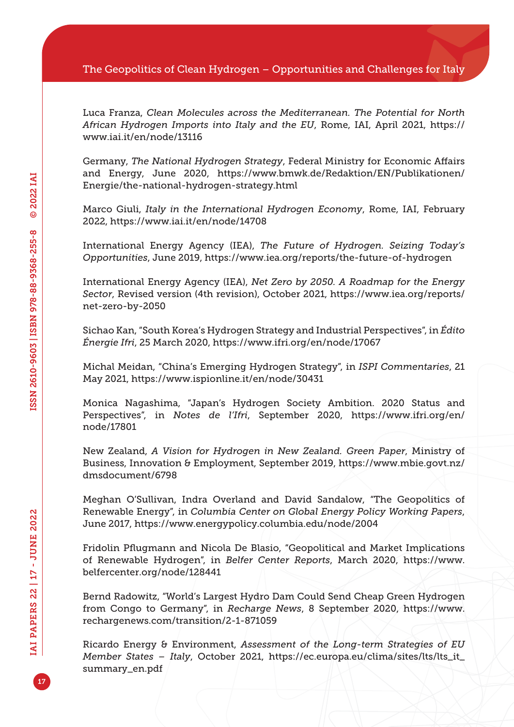Luca Franza, *Clean Molecules across the Mediterranean. The Potential for North African Hydrogen Imports into Italy and the EU*, Rome, IAI, April 2021, [https://](https://www.iai.it/en/node/13116) [www.iai.it/en/node/13116](https://www.iai.it/en/node/13116)

Germany, *The National Hydrogen Strategy*, Federal Ministry for Economic Affairs and Energy, June 2020, [https://www.bmwk.de/Redaktion/EN/Publikationen/](https://www.bmwk.de/Redaktion/EN/Publikationen/Energie/the-national-hydrogen-strategy.html) [Energie/the-national-hydrogen-strategy.html](https://www.bmwk.de/Redaktion/EN/Publikationen/Energie/the-national-hydrogen-strategy.html)

Marco Giuli, *Italy in the International Hydrogen Economy*, Rome, IAI, February 2022, <https://www.iai.it/en/node/14708>

International Energy Agency (IEA), *The Future of Hydrogen. Seizing Today's Opportunities*, June 2019,<https://www.iea.org/reports/the-future-of-hydrogen>

International Energy Agency (IEA), *Net Zero by 2050. A Roadmap for the Energy Sector*, Revised version (4th revision), October 2021, [https://www.iea.org/reports/](https://www.iea.org/reports/net-zero-by-2050) [net-zero-by-2050](https://www.iea.org/reports/net-zero-by-2050)

Sichao Kan, "South Korea's Hydrogen Strategy and Industrial Perspectives", in *Édito Énergie Ifri*, 25 March 2020, <https://www.ifri.org/en/node/17067>

Michal Meidan, "China's Emerging Hydrogen Strategy", in *ISPI Commentaries*, 21 May 2021,<https://www.ispionline.it/en/node/30431>

Monica Nagashima, "Japan's Hydrogen Society Ambition. 2020 Status and Perspectives", in *Notes de l'Ifri*, September 2020, [https://www.ifri.org/en/](https://www.ifri.org/en/node/17801) [node/17801](https://www.ifri.org/en/node/17801)

New Zealand, *A Vision for Hydrogen in New Zealand. Green Paper*, Ministry of Business, Innovation & Employment, September 2019, [https://www.mbie.govt.nz/](https://www.mbie.govt.nz/dmsdocument/6798) [dmsdocument/6798](https://www.mbie.govt.nz/dmsdocument/6798)

Meghan O'Sullivan, Indra Overland and David Sandalow, "The Geopolitics of Renewable Energy", in *Columbia Center on Global Energy Policy Working Papers*, June 2017, <https://www.energypolicy.columbia.edu/node/2004>

Fridolin Pflugmann and Nicola De Blasio, "Geopolitical and Market Implications of Renewable Hydrogen", in *Belfer Center Reports*, March 2020, [https://www.](https://www.belfercenter.org/node/128441) [belfercenter.org/node/128441](https://www.belfercenter.org/node/128441)

Bernd Radowitz, "World's Largest Hydro Dam Could Send Cheap Green Hydrogen from Congo to Germany", in *Recharge News*, 8 September 2020, [https://www.](https://www.rechargenews.com/transition/2-1-871059) [rechargenews.com/transition/2-1-871059](https://www.rechargenews.com/transition/2-1-871059)

Ricardo Energy & Environment, *Assessment of the Long-term Strategies of EU Member States – Italy*, October 2021, [https://ec.europa.eu/clima/sites/lts/lts\\_it\\_](https://ec.europa.eu/clima/sites/lts/lts_it_summary_en.pdf) [summary\\_en.pdf](https://ec.europa.eu/clima/sites/lts/lts_it_summary_en.pdf)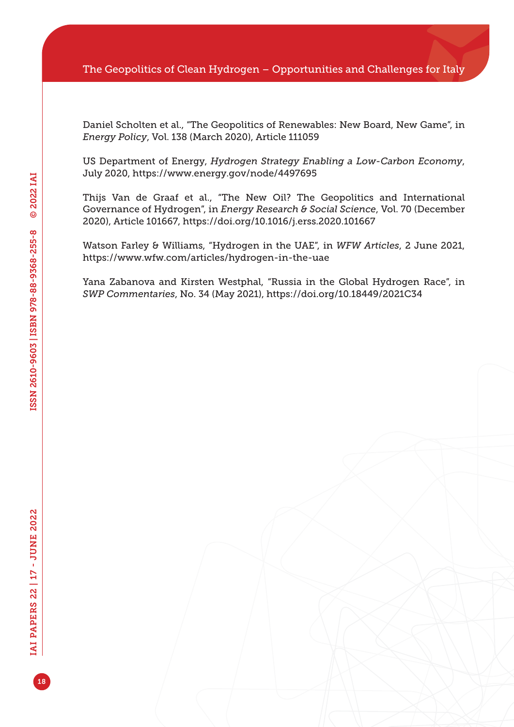Daniel Scholten et al., "The Geopolitics of Renewables: New Board, New Game", in *Energy Policy*, Vol. 138 (March 2020), Article 111059

US Department of Energy, *Hydrogen Strategy Enabling a Low-Carbon Economy*, July 2020, <https://www.energy.gov/node/4497695>

Thijs Van de Graaf et al., "The New Oil? The Geopolitics and International Governance of Hydrogen", in *Energy Research & Social Science*, Vol. 70 (December 2020), Article 101667, <https://doi.org/10.1016/j.erss.2020.101667>

Watson Farley & Williams, "Hydrogen in the UAE", in *WFW Articles*, 2 June 2021, <https://www.wfw.com/articles/hydrogen-in-the-uae>

Yana Zabanova and Kirsten Westphal, "Russia in the Global Hydrogen Race", in *SWP Commentaries*, No. 34 (May 2021), <https://doi.org/10.18449/2021C34>